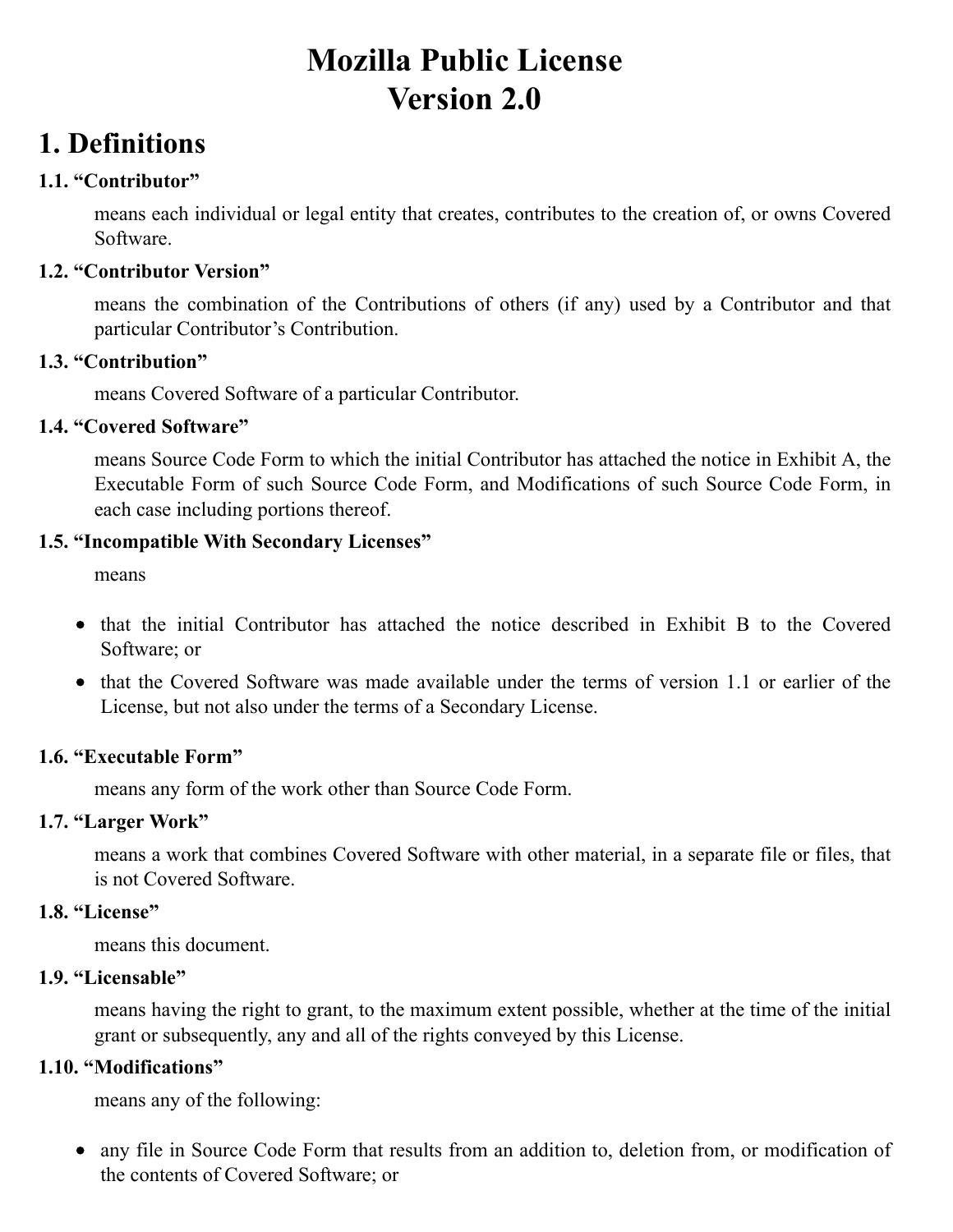# **Mozilla Public License Version 2.0**

## **1. Definitions**

### **1.1. "Contributor"**

means each individual or legal entity that creates, contributes to the creation of, or owns Covered Software.

### **1.2. "Contributor Version"**

means the combination of the Contributions of others (if any) used by a Contributor and that particular Contributor's Contribution.

#### **1.3. "Contribution"**

means Covered Software of a particular Contributor.

### **1.4. "Covered Software"**

means Source Code Form to which the initial Contributor has attached the notice in Exhibit A, the Executable Form of such Source Code Form, and Modifications of such Source Code Form, in each case including portions thereof.

### **1.5. "Incompatible With Secondary Licenses"**

means

- that the initial Contributor has attached the notice described in Exhibit B to the Covered Software; or
- that the Covered Software was made available under the terms of version 1.1 or earlier of the License, but not also under the terms of a Secondary License.

### **1.6. "Executable Form"**

means any form of the work other than Source Code Form.

### **1.7. "Larger Work"**

means a work that combines Covered Software with other material, in a separate file or files, that is not Covered Software.

#### **1.8. "License"**

means this document.

### **1.9. "Licensable"**

means having the right to grant, to the maximum extent possible, whether at the time of the initial grant or subsequently, any and all of the rights conveyed by this License.

### **1.10. "Modifications"**

means any of the following:

any file in Source Code Form that results from an addition to, deletion from, or modification of the contents of Covered Software; or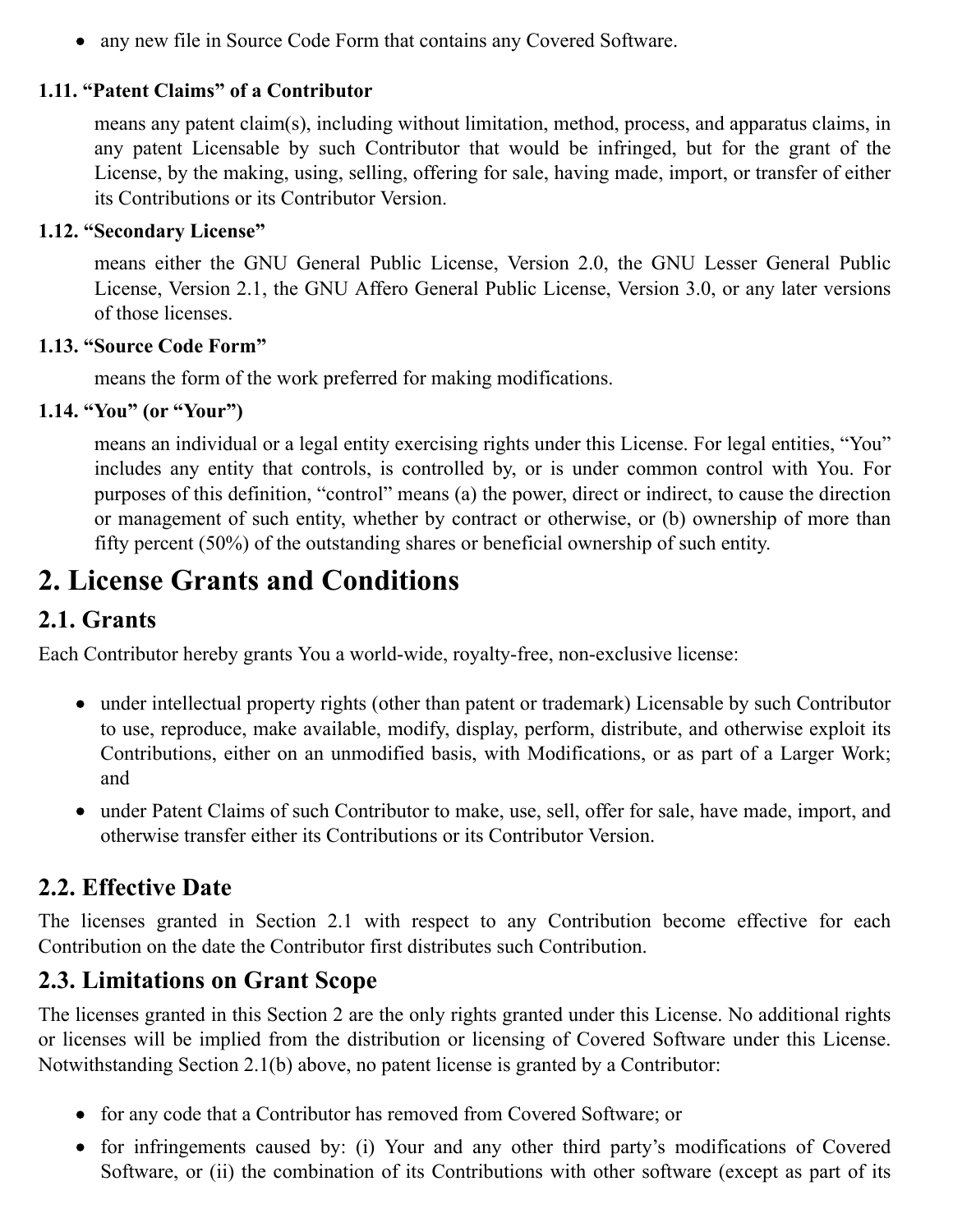any new file in Source Code Form that contains any Covered Software.

### **1.11. "Patent Claims" of a Contributor**

means any patent claim(s), including without limitation, method, process, and apparatus claims, in any patent Licensable by such Contributor that would be infringed, but for the grant of the License, by the making, using, selling, offering for sale, having made, import, or transfer of either its Contributions or its Contributor Version.

#### **1.12. "Secondary License"**

means either the GNU General Public License, Version 2.0, the GNU Lesser General Public License, Version 2.1, the GNU Affero General Public License, Version 3.0, or any later versions of those licenses.

### **1.13. "Source Code Form"**

means the form of the work preferred for making modifications.

### **1.14. "You" (or "Your")**

means an individual or a legal entity exercising rights under this License. For legal entities, "You" includes any entity that controls, is controlled by, or is under common control with You. For purposes of this definition, "control" means (a) the power, direct or indirect, to cause the direction or management of such entity, whether by contract or otherwise, or (b) ownership of more than fifty percent (50%) of the outstanding shares or beneficial ownership of such entity.

## **2. License Grants and Conditions**

### **2.1. Grants**

Each Contributor hereby grants You a world-wide, royalty-free, non-exclusive license:

- under intellectual property rights (other than patent or trademark) Licensable by such Contributor to use, reproduce, make available, modify, display, perform, distribute, and otherwise exploit its Contributions, either on an unmodified basis, with Modifications, or as part of a Larger Work; and
- under Patent Claims of such Contributor to make, use, sell, offer for sale, have made, import, and otherwise transfer either its Contributions or its Contributor Version.

### **2.2. Effective Date**

The licenses granted in Section 2.1 with respect to any Contribution become effective for each Contribution on the date the Contributor first distributes such Contribution.

### **2.3. Limitations on Grant Scope**

The licenses granted in this Section 2 are the only rights granted under this License. No additional rights or licenses will be implied from the distribution or licensing of Covered Software under this License. Notwithstanding Section 2.1(b) above, no patent license is granted by a Contributor:

- for any code that a Contributor has removed from Covered Software; or
- for infringements caused by: (i) Your and any other third party's modifications of Covered Software, or (ii) the combination of its Contributions with other software (except as part of its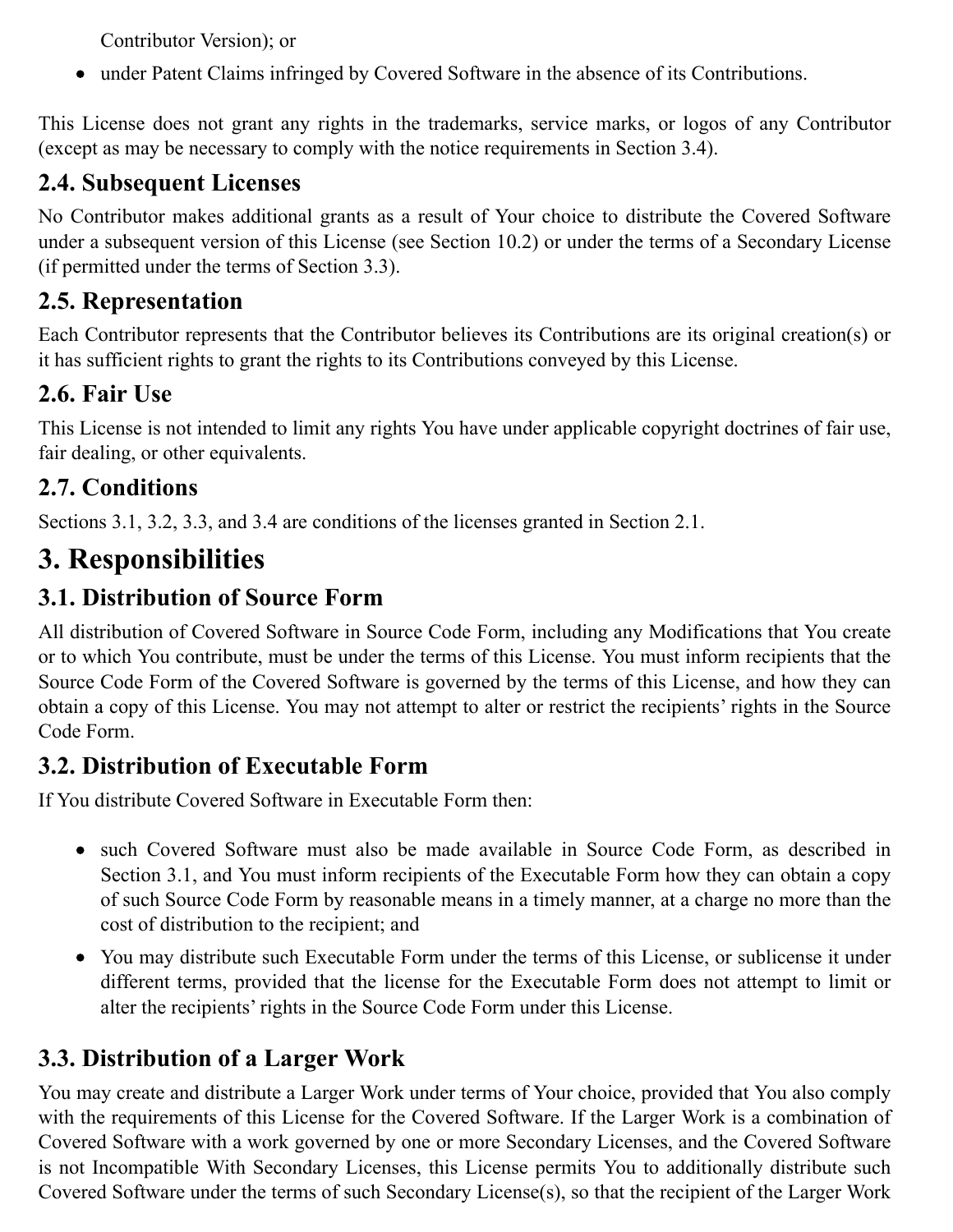Contributor Version); or

under Patent Claims infringed by Covered Software in the absence of its Contributions.

This License does not grant any rights in the trademarks, service marks, or logos of any Contributor (except as may be necessary to comply with the notice requirements in Section 3.4).

### **2.4. Subsequent Licenses**

No Contributor makes additional grants as a result of Your choice to distribute the Covered Software under a subsequent version of this License (see Section 10.2) or under the terms of a Secondary License (if permitted under the terms of Section 3.3).

## **2.5. Representation**

Each Contributor represents that the Contributor believes its Contributions are its original creation(s) or it has sufficient rights to grant the rights to its Contributions conveyed by this License.

## **2.6. Fair Use**

This License is not intended to limit any rights You have under applicable copyright doctrines of fair use, fair dealing, or other equivalents.

## **2.7. Conditions**

Sections 3.1, 3.2, 3.3, and 3.4 are conditions of the licenses granted in Section 2.1.

## **3. Responsibilities**

## **3.1. Distribution of Source Form**

All distribution of Covered Software in Source Code Form, including any Modifications that You create or to which You contribute, must be under the terms of this License. You must inform recipients that the Source Code Form of the Covered Software is governed by the terms of this License, and how they can obtain a copy of this License. You may not attempt to alter or restrict the recipients' rights in the Source Code Form.

## **3.2. Distribution of Executable Form**

If You distribute Covered Software in Executable Form then:

- such Covered Software must also be made available in Source Code Form, as described in Section 3.1, and You must inform recipients of the Executable Form how they can obtain a copy of such Source Code Form by reasonable means in a timely manner, at a charge no more than the cost of distribution to the recipient; and
- You may distribute such Executable Form under the terms of this License, or sublicense it under different terms, provided that the license for the Executable Form does not attempt to limit or alter the recipients' rights in the Source Code Form under this License.

## **3.3. Distribution of a Larger Work**

You may create and distribute a Larger Work under terms of Your choice, provided that You also comply with the requirements of this License for the Covered Software. If the Larger Work is a combination of Covered Software with a work governed by one or more Secondary Licenses, and the Covered Software is not Incompatible With Secondary Licenses, this License permits You to additionally distribute such Covered Software under the terms of such Secondary License(s), so that the recipient of the Larger Work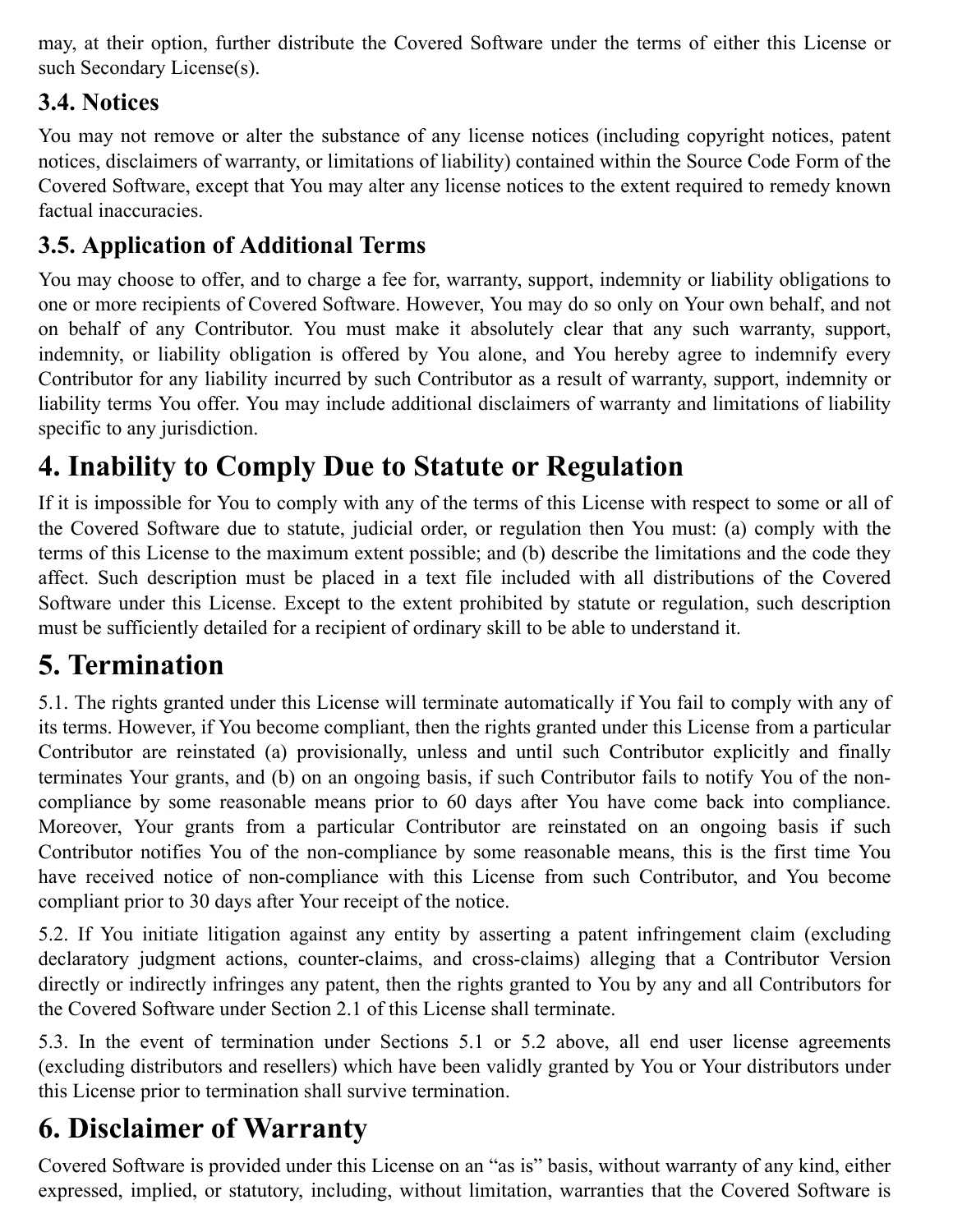may, at their option, further distribute the Covered Software under the terms of either this License or such Secondary License(s).

## **3.4. Notices**

You may not remove or alter the substance of any license notices (including copyright notices, patent notices, disclaimers of warranty, or limitations of liability) contained within the Source Code Form of the Covered Software, except that You may alter any license notices to the extent required to remedy known factual inaccuracies.

## **3.5. Application of Additional Terms**

You may choose to offer, and to charge a fee for, warranty, support, indemnity or liability obligations to one or more recipients of Covered Software. However, You may do so only on Your own behalf, and not on behalf of any Contributor. You must make it absolutely clear that any such warranty, support, indemnity, or liability obligation is offered by You alone, and You hereby agree to indemnify every Contributor for any liability incurred by such Contributor as a result of warranty, support, indemnity or liability terms You offer. You may include additional disclaimers of warranty and limitations of liability specific to any jurisdiction.

# **4. Inability to Comply Due to Statute or Regulation**

If it is impossible for You to comply with any of the terms of this License with respect to some or all of the Covered Software due to statute, judicial order, or regulation then You must: (a) comply with the terms of this License to the maximum extent possible; and (b) describe the limitations and the code they affect. Such description must be placed in a text file included with all distributions of the Covered Software under this License. Except to the extent prohibited by statute or regulation, such description must be sufficiently detailed for a recipient of ordinary skill to be able to understand it.

## **5. Termination**

5.1. The rights granted under this License will terminate automatically if You fail to comply with any of its terms. However, if You become compliant, then the rights granted under this License from a particular Contributor are reinstated (a) provisionally, unless and until such Contributor explicitly and finally terminates Your grants, and (b) on an ongoing basis, if such Contributor fails to notify You of the noncompliance by some reasonable means prior to 60 days after You have come back into compliance. Moreover, Your grants from a particular Contributor are reinstated on an ongoing basis if such Contributor notifies You of the non-compliance by some reasonable means, this is the first time You have received notice of non-compliance with this License from such Contributor, and You become compliant prior to 30 days after Your receipt of the notice.

5.2. If You initiate litigation against any entity by asserting a patent infringement claim (excluding declaratory judgment actions, counter-claims, and cross-claims) alleging that a Contributor Version directly or indirectly infringes any patent, then the rights granted to You by any and all Contributors for the Covered Software under Section 2.1 of this License shall terminate.

5.3. In the event of termination under Sections 5.1 or 5.2 above, all end user license agreements (excluding distributors and resellers) which have been validly granted by You or Your distributors under this License prior to termination shall survive termination.

# **6. Disclaimer of Warranty**

Covered Software is provided under this License on an "as is" basis, without warranty of any kind, either expressed, implied, or statutory, including, without limitation, warranties that the Covered Software is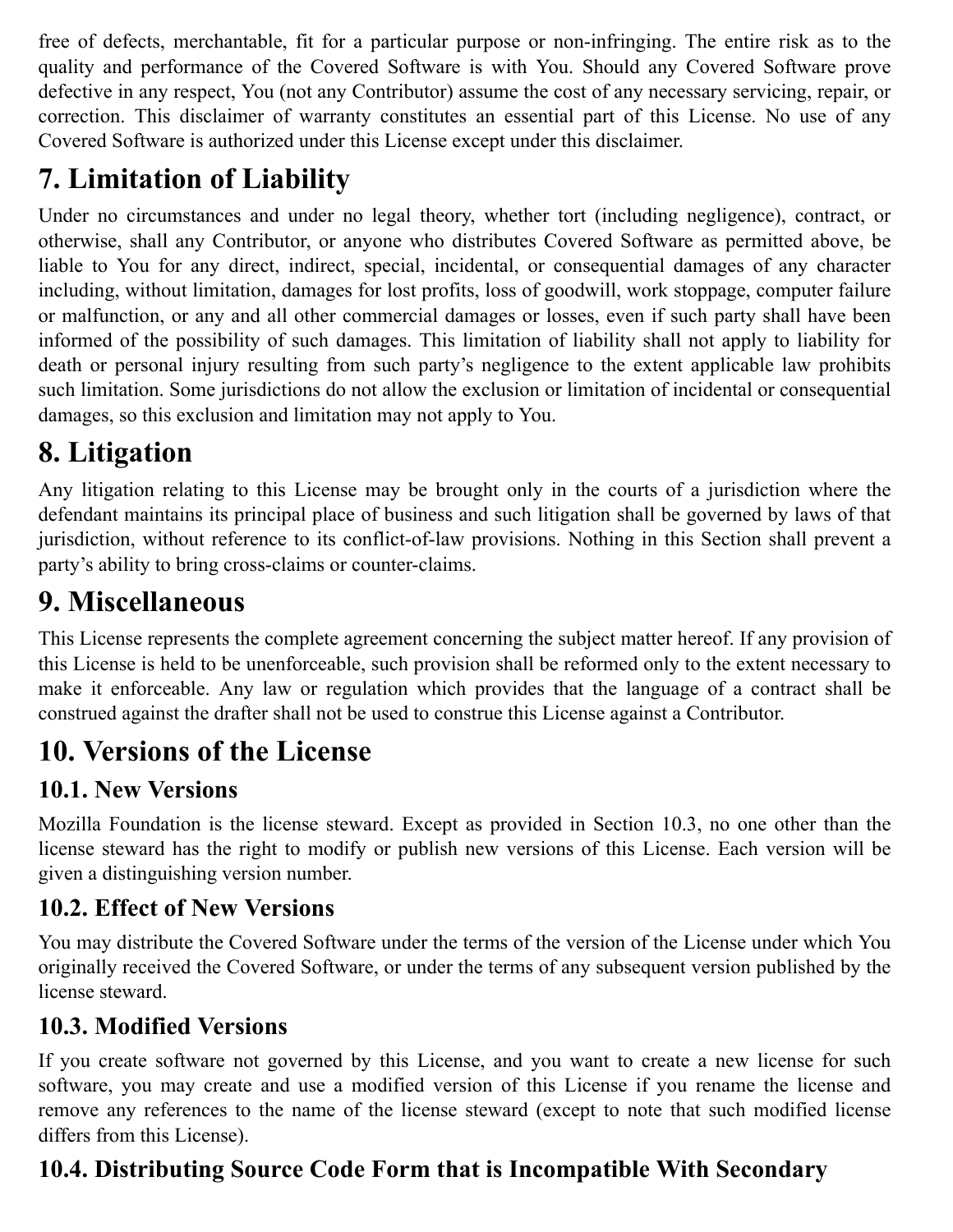free of defects, merchantable, fit for a particular purpose or non-infringing. The entire risk as to the quality and performance of the Covered Software is with You. Should any Covered Software prove defective in any respect, You (not any Contributor) assume the cost of any necessary servicing, repair, or correction. This disclaimer of warranty constitutes an essential part of this License. No use of any Covered Software is authorized under this License except under this disclaimer.

# **7. Limitation of Liability**

Under no circumstances and under no legal theory, whether tort (including negligence), contract, or otherwise, shall any Contributor, or anyone who distributes Covered Software as permitted above, be liable to You for any direct, indirect, special, incidental, or consequential damages of any character including, without limitation, damages for lost profits, loss of goodwill, work stoppage, computer failure or malfunction, or any and all other commercial damages or losses, even if such party shall have been informed of the possibility of such damages. This limitation of liability shall not apply to liability for death or personal injury resulting from such party's negligence to the extent applicable law prohibits such limitation. Some jurisdictions do not allow the exclusion or limitation of incidental or consequential damages, so this exclusion and limitation may not apply to You.

# **8. Litigation**

Any litigation relating to this License may be brought only in the courts of a jurisdiction where the defendant maintains its principal place of business and such litigation shall be governed by laws of that jurisdiction, without reference to its conflict-of-law provisions. Nothing in this Section shall prevent a party's ability to bring cross-claims or counter-claims.

# **9. Miscellaneous**

This License represents the complete agreement concerning the subject matter hereof. If any provision of this License is held to be unenforceable, such provision shall be reformed only to the extent necessary to make it enforceable. Any law or regulation which provides that the language of a contract shall be construed against the drafter shall not be used to construe this License against a Contributor.

## **10. Versions of the License**

## **10.1. New Versions**

Mozilla Foundation is the license steward. Except as provided in Section 10.3, no one other than the license steward has the right to modify or publish new versions of this License. Each version will be given a distinguishing version number.

## **10.2. Effect of New Versions**

You may distribute the Covered Software under the terms of the version of the License under which You originally received the Covered Software, or under the terms of any subsequent version published by the license steward.

## **10.3. Modified Versions**

If you create software not governed by this License, and you want to create a new license for such software, you may create and use a modified version of this License if you rename the license and remove any references to the name of the license steward (except to note that such modified license differs from this License).

## **10.4. Distributing Source Code Form that is Incompatible With Secondary**